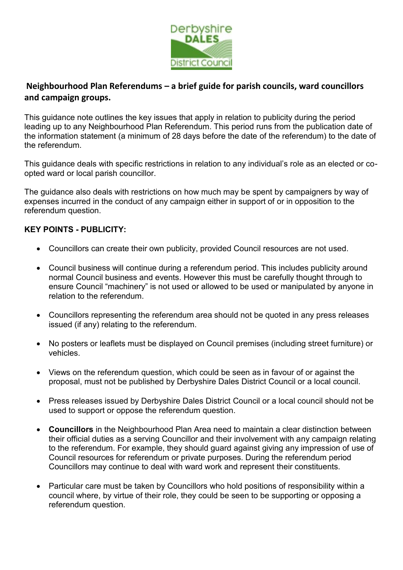

## **Neighbourhood Plan Referendums – a brief guide for parish councils, ward councillors and campaign groups.**

This guidance note outlines the key issues that apply in relation to publicity during the period leading up to any Neighbourhood Plan Referendum. This period runs from the publication date of the information statement (a minimum of 28 days before the date of the referendum) to the date of the referendum.

This guidance deals with specific restrictions in relation to any individual's role as an elected or coopted ward or local parish councillor.

The guidance also deals with restrictions on how much may be spent by campaigners by way of expenses incurred in the conduct of any campaign either in support of or in opposition to the referendum question.

## **KEY POINTS - PUBLICITY:**

- Councillors can create their own publicity, provided Council resources are not used.
- Council business will continue during a referendum period. This includes publicity around normal Council business and events. However this must be carefully thought through to ensure Council "machinery" is not used or allowed to be used or manipulated by anyone in relation to the referendum.
- Councillors representing the referendum area should not be quoted in any press releases issued (if any) relating to the referendum.
- No posters or leaflets must be displayed on Council premises (including street furniture) or vehicles.
- Views on the referendum question, which could be seen as in favour of or against the proposal, must not be published by Derbyshire Dales District Council or a local council.
- Press releases issued by Derbyshire Dales District Council or a local council should not be used to support or oppose the referendum question.
- **Councillors** in the Neighbourhood Plan Area need to maintain a clear distinction between their official duties as a serving Councillor and their involvement with any campaign relating to the referendum. For example, they should guard against giving any impression of use of Council resources for referendum or private purposes. During the referendum period Councillors may continue to deal with ward work and represent their constituents.
- Particular care must be taken by Councillors who hold positions of responsibility within a council where, by virtue of their role, they could be seen to be supporting or opposing a referendum question.